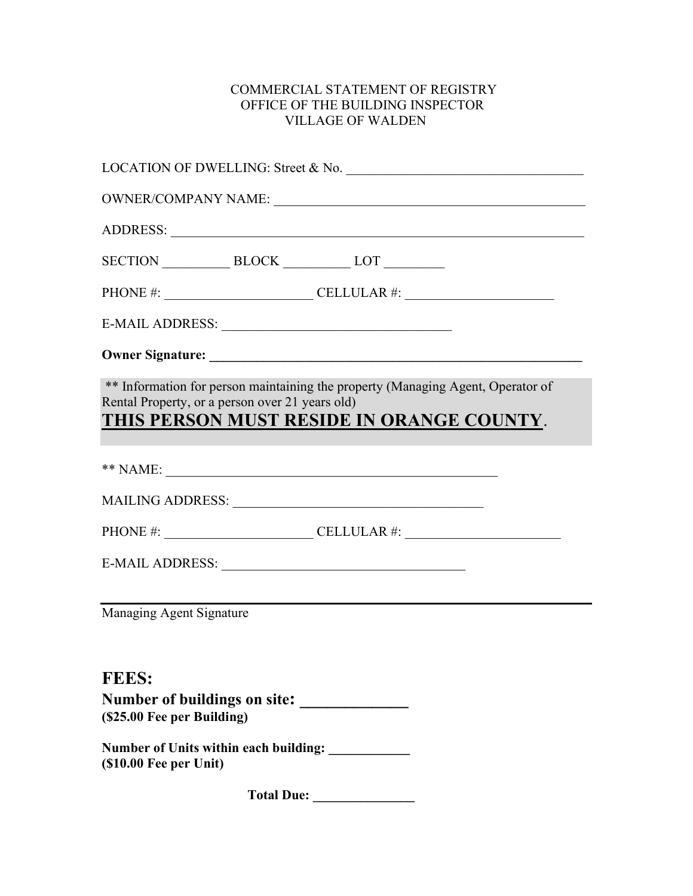## COMMERCIAL STATEMENT OF REGISTRY OFFICE OF THE BUILDING INSPECTOR VILLAGE OF WALDEN

|                                            |                                                 | LOCATION OF DWELLING: Street & No.                                                                                           |  |
|--------------------------------------------|-------------------------------------------------|------------------------------------------------------------------------------------------------------------------------------|--|
|                                            |                                                 | OWNER/COMPANY NAME:                                                                                                          |  |
|                                            |                                                 |                                                                                                                              |  |
|                                            |                                                 | SECTION BLOCK LOT                                                                                                            |  |
|                                            |                                                 | PHONE #: $\_\_\_\_\_\_\_\_\_\_\_$ CELLULAR #: $\_\_\_\_\_\_\_\_\_\_\_\_$                                                     |  |
|                                            |                                                 |                                                                                                                              |  |
|                                            |                                                 |                                                                                                                              |  |
|                                            | Rental Property, or a person over 21 years old) | ** Information for person maintaining the property (Managing Agent, Operator of<br>THIS PERSON MUST RESIDE IN ORANGE COUNTY. |  |
|                                            |                                                 |                                                                                                                              |  |
|                                            |                                                 |                                                                                                                              |  |
|                                            |                                                 | PHONE #: ____________________________CELLULAR #: _______________________________                                             |  |
|                                            |                                                 |                                                                                                                              |  |
| Managing Agent Signature                   |                                                 |                                                                                                                              |  |
| <b>FEES:</b><br>(\$25.00 Fee per Building) |                                                 | Number of buildings on site:                                                                                                 |  |
| $($ \$10.00 Fee per Unit $)$               |                                                 | Number of Units within each building:                                                                                        |  |
|                                            | <b>Total Due:</b>                               |                                                                                                                              |  |